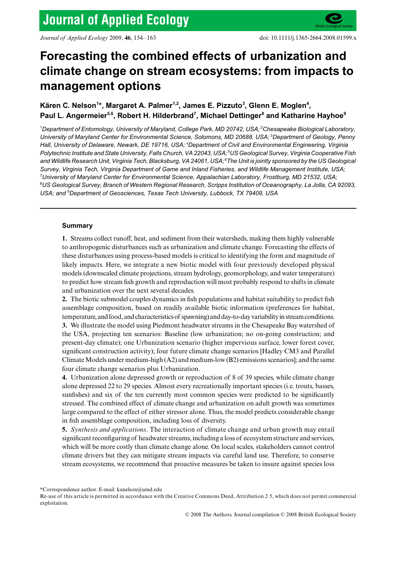# Forecasting the combined effects of urbanization and **climate change on stream ecosystems: from impacts to management options**

# Kären C. Nelson<sup>1</sup>\*, Margaret A. Palmer<sup>1,2</sup>, James E. Pizzuto<sup>3</sup>, Glenn E. Moglen<sup>4</sup>, Paul L. Angermeier<sup>5,6</sup>, Robert H. Hilderbrand<sup>7</sup>, Michael Dettinger<sup>8</sup> and Katharine Hayhoe<sup>9</sup>

 $^4$ Department of Entomology, University of Maryland, College Park, MD 20742, USA; $^2$ Chesapeake Biological Laboratory, *University of Maryland Center for Environmental Science, Solomons, MD 20688, USA;* <sup>3</sup> *Department of Geology, Penny Hall, University of Delaware, Newark, DE 19716, USA;* <sup>4</sup> *Department of Civil and Environmental Engineering, Virginia Polytechnic Institute and State University, Falls Church, VA 22043, USA;* <sup>5</sup> *US Geological Survey, Virginia Cooperative Fish and Wildlife Research Unit, Virginia Tech, Blacksburg, VA 24061, USA;* <sup>6</sup> *The Unit is jointly sponsored by the US Geological Survey, Virginia Tech, Virginia Department of Game and Inland Fisheries, and Wildlife Management Institute, USA;*  7 *University of Maryland Center for Environmental Science, Appalachian Laboratory, Frostburg, MD 21532, USA;*  8 *US Geological Survey, Branch of Western Regional Research, Scripps Institution of Oceanography, La Jolla, CA 92093, USA; and* <sup>9</sup> *Department of Geosciences, Texas Tech University, Lubbock, TX 79409, USA*

# **Summary**

**1.** Streams collect runoff, heat, and sediment from their watersheds, making them highly vulnerable to anthropogenic disturbances such as urbanization and climate change. Forecasting the effects of these disturbances using process-based models is critical to identifying the form and magnitude of likely impacts. Here, we integrate a new biotic model with four previously developed physical models (downscaled climate projections, stream hydrology, geomorphology, and water temperature) to predict how stream fish growth and reproduction will most probably respond to shifts in climate and urbanization over the next several decades.

**2.** The biotic submodel couples dynamics in fish populations and habitat suitability to predict fish assemblage composition, based on readily available biotic information (preferences for habitat, temperature, and food, and characteristics of spawning) and day-to-day variability in stream conditions.

**3.** We illustrate the model using Piedmont headwater streams in the Chesapeake Bay watershed of the USA, projecting ten scenarios: Baseline (low urbanization; no on-going construction; and present-day climate); one Urbanization scenario (higher impervious surface, lower forest cover, significant construction activity); four future climate change scenarios [Hadley CM3 and Parallel Climate Models under medium-high  $(A2)$  and medium-low  $(B2)$  emissions scenarios]; and the same four climate change scenarios plus Urbanization.

**4.** Urbanization alone depressed growth or reproduction of 8 of 39 species, while climate change alone depressed 22 to 29 species. Almost every recreationally important species (i.e. trouts, basses, sunfishes) and six of the ten currently most common species were predicted to be significantly stressed. The combined effect of climate change and urbanization on adult growth was sometimes large compared to the effect of either stressor alone. Thus, the model predicts considerable change in fish assemblage composition, including loss of diversity.

**5.** *Synthesis and applications*. The interaction of climate change and urban growth may entail significant reconfiguring of headwater streams, including a loss of ecosystem structure and services, which will be more costly than climate change alone. On local scales, stakeholders cannot control climate drivers but they can mitigate stream impacts via careful land use. Therefore, to conserve stream ecosystems, we recommend that proactive measures be taken to insure against species loss

\*Correspondence author. E-mail: kanelson@umd.edu

Re-use of this article is permitted in accordance with the Creative Commons Deed, Attribution 2·5, which does not permit commercial exploitation.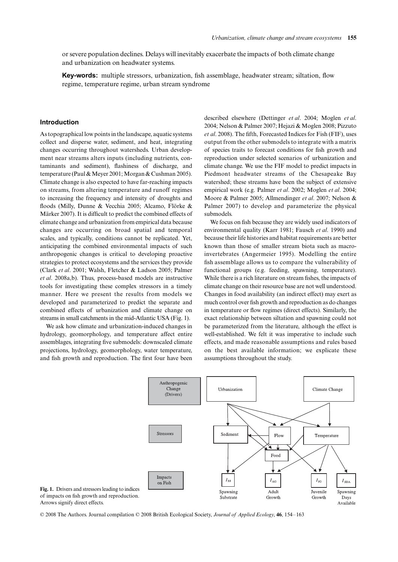or severe population declines. Delays will inevitably exacerbate the impacts of both climate change and urbanization on headwater systems.

**Key-words:** multiple stressors, urbanization, fish assemblage, headwater stream; siltation, flow regime, temperature regime, urban stream syndrome

# **Introduction**

As topographical low points in the landscape, aquatic systems collect and disperse water, sediment, and heat, integrating changes occurring throughout watersheds. Urban development near streams alters inputs (including nutrients, contaminants and sediment), flashiness of discharge, and temperature (Paul & Meyer 2001; Morgan & Cushman 2005). Climate change is also expected to have far-reaching impacts on streams, from altering temperature and runoff regimes to increasing the frequency and intensity of droughts and floods (Milly, Dunne & Vecchia 2005; Alcamo, Flörke & Märker 2007). It is difficult to predict the combined effects of climate change and urbanization from empirical data because changes are occurring on broad spatial and temporal scales, and typically, conditions cannot be replicated. Yet, anticipating the combined environmental impacts of such anthropogenic changes is critical to developing proactive strategies to protect ecosystems and the services they provide (Clark *et al*. 2001; Walsh, Fletcher & Ladson 2005; Palmer *et al*. 2008a,b). Thus, process-based models are instructive tools for investigating these complex stressors in a timely manner. Here we present the results from models we developed and parameterized to predict the separate and combined effects of urbanization and climate change on streams in small catchments in the mid-Atlantic USA (Fig. 1).

We ask how climate and urbanization-induced changes in hydrology, geomorphology, and temperature affect entire assemblages, integrating five submodels: downscaled climate projections, hydrology, geomorphology, water temperature, and fish growth and reproduction. The first four have been described elsewhere (Dettinger *et al*. 2004; Moglen *et al*. 2004; Nelson & Palmer 2007; Hejazi & Moglen 2008; Pizzuto *et al*. 2008). The fifth, Forecasted Indices for Fish (FIF), uses output from the other submodels to integrate with a matrix of species traits to forecast conditions for fish growth and reproduction under selected scenarios of urbanization and climate change. We use the FIF model to predict impacts in Piedmont headwater streams of the Chesapeake Bay watershed; these streams have been the subject of extensive empirical work (e.g. Palmer *et al*. 2002; Moglen *et al*. 2004; Moore & Palmer 2005; Allmendinger *et al*. 2007; Nelson & Palmer 2007) to develop and parameterize the physical submodels.

We focus on fish because they are widely used indicators of environmental quality (Karr 1981; Fausch *et al*. 1990) and because their life histories and habitat requirements are better known than those of smaller stream biota such as macroinvertebrates (Angermeier 1995). Modelling the entire fish assemblage allows us to compare the vulnerability of functional groups (e.g. feeding, spawning, temperature). While there is a rich literature on stream fishes, the impacts of climate change on their resource base are not well understood. Changes in food availability (an indirect effect) may exert as much control over fish growth and reproduction as do changes in temperature or flow regimes (direct effects). Similarly, the exact relationship between siltation and spawning could not be parameterized from the literature, although the effect is well-established. We felt it was imperative to include such effects, and made reasonable assumptions and rules based on the best available information; we explicate these assumptions throughout the study.



**Fig. 1.** Drivers and stressors leading to indices of impacts on fish growth and reproduction. Arrows signify direct effects.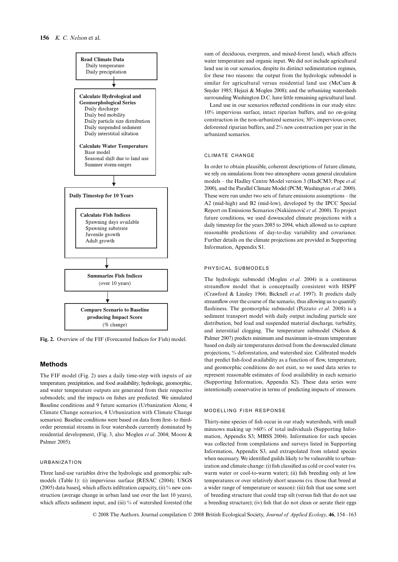

**Fig. 2.** Overview of the FIF (Forecasted Indices for Fish) model.

#### **Methods**

The FIF model (Fig. 2) uses a daily time-step with inputs of air temperature, precipitation, and food availability; hydrologic, geomorphic, and water temperature outputs are generated from their respective submodels; and the impacts on fishes are predicted. We simulated Baseline conditions and 9 future scenarios (Urbanization Alone, 4 Climate Change scenarios, 4 Urbanization with Climate Change scenarios). Baseline conditions were based on data from first- to thirdorder perennial streams in four watersheds currently dominated by residential development, (Fig. 3, also Moglen *et al*. 2004; Moore & Palmer 2005).

#### URBANIZATION

Three land-use variables drive the hydrologic and geomorphic submodels (Table 1): (i) impervious surface [RESAC (2004); USGS (2005) data bases], which affects infiltration capacity, (ii)  $\%$  new construction (average change in urban land use over the last 10 years), which affects sediment input, and (iii) % of watershed forested (the sum of deciduous, evergreen, and mixed-forest land), which affects water temperature and organic input. We did not include agricultural land use in our scenarios, despite its distinct sedimentation regimes, for these two reasons: the output from the hydrologic submodel is similar for agricultural versus residential land use (McCuen & Snyder 1985; Hejazi & Moglen 2008); and the urbanizing watersheds surrounding Washington D.C. have little remaining agricultural land.

Land use in our scenarios reflected conditions in our study sites: 10% impervious surface, intact riparian buffers, and no on-going construction in the non-urbanized scenarios; 30% impervious cover, deforested riparian buffers, and 2% new construction per year in the urbanized scenarios.

#### CLIMATE CHANGE

In order to obtain plausible, coherent descriptions of future climate, we rely on simulations from two atmosphere–ocean general circulation models – the Hadley Centre Model version 3 (HadCM3; Pope *et al*. 2000), and the Parallel Climate Model (PCM; Washington *et al*. 2000). These were run under two sets of future emissions assumptions – the A2 (mid-high) and B2 (mid-low), developed by the IPCC Special Report on Emissions Scenarios (Nakicenovic *et al*. 2000). To project future conditions, we used downscaled climate projections with a daily timestep for the years 2085 to 2094, which allowed us to capture reasonable predictions of day-to-day variability and covariance. Further details on the climate projections are provided in Supporting Information, Appendix S1.

#### PHYSICAL SUBMODELS

The hydrologic submodel (Moglen *et al*. 2004) is a continuous streamflow model that is conceptually consistent with HSPF (Crawford & Linsley 1966; Bicknell *et al*. 1997). It predicts daily streamflow over the course of the scenario, thus allowing us to quantify flashiness. The geomorphic submodel (Pizzuto *et al*. 2008) is a sediment transport model with daily output including particle size distribution, bed load and suspended material discharge, turbidity, and interstitial clogging. The temperature submodel (Nelson & Palmer 2007) predicts minimum and maximum in-stream temperature based on daily air temperatures derived from the downscaled climate projections, % deforestation, and watershed size. Calibrated models that predict fish-food availability as a function of flow, temperature, and geomorphic conditions do not exist, so we used data series to represent reasonable estimates of food availability in each scenario (Supporting Information, Appendix S2). These data series were intentionally conservative in terms of predicting impacts of stressors.

#### MODELLING FISH RESPONSE

Thirty-nine species of fish occur in our study watersheds, with small minnows making up >60% of total individuals (Supporting Information, Appendix S3; MBSS 2004). Information for each species was collected from compilations and surveys listed in Supporting Information, Appendix S3, and extrapolated from related species when necessary. We identified guilds likely to be vulnerable to urbanization and climate change: (i) fish classified as cold or cool water (vs. warm water or cool-to-warm water); (ii) fish breeding only at low temperatures or over relatively short seasons (vs. those that breed at a wider range of temperature or season): (iii) fish that use some sort of breeding structure that could trap silt (versus fish that do not use a breeding structure); (iv) fish that do not clean or aerate their eggs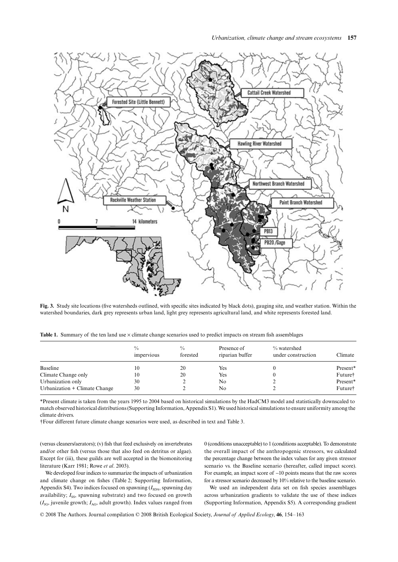

**Fig. 3.** Study site locations (five watersheds outlined, with specific sites indicated by black dots), gauging site, and weather station. Within the watershed boundaries, dark grey represents urban land, light grey represents agricultural land, and white represents forested land.

|            | $_{0}$   | Presence of     | % watershed        |
|------------|----------|-----------------|--------------------|
|            |          |                 |                    |
| impervious | forested | riparian buffer | under construction |

Table 1. Summary of the ten land use  $\times$  climate change scenarios used to predict impacts on stream fish assemblages

| Urbanization + Climate Change                                                                                                                                                                                                                                                             | 30 | No. | Future† |
|-------------------------------------------------------------------------------------------------------------------------------------------------------------------------------------------------------------------------------------------------------------------------------------------|----|-----|---------|
| *Present climate is taken from the years 1995 to 2004 based on historical simulations by the HadCM3 model and statistically downscaled to<br>match observed historical distributions (Supporting Information, Appendix S1). We used historical simulations to ensure uniformity among the |    |     |         |
| climate drivers.                                                                                                                                                                                                                                                                          |    |     |         |

Baseline 10 10 20 Yes 0 Present\* Climate Change only 10 20 Yes 0 Future†<br>
10 20 Yes 0 Future†<br>
10 20 Yes 0 Present\* Urbanization only 1988 and 2 30 2 2 No 2 2 2 Present<sup>\*</sup>

†Four different future climate change scenarios were used, as described in text and Table 3.

(versus cleaners/aerators); (v) fish that feed exclusively on invertebrates and/or other fish (versus those that also feed on detritus or algae). Except for (iii), these guilds are well accepted in the biomonitoring literature (Karr 1981; Rowe *et al*. 2003).

We developed four indices to summarize the impacts of urbanization and climate change on fishes (Table 2; Supporting Information, Appendix S4). Two indices focused on spawning  $(I_{SDA},$  spawning day availability;  $I_{SS}$ , spawning substrate) and two focused on growth  $(I_{\text{JG}})$  juvenile growth;  $I_{\text{AG}}$ , adult growth). Index values ranged from 0 (conditions unacceptable) to 1 (conditions acceptable). To demonstrate the overall impact of the anthropogenic stressors, we calculated the percentage change between the index values for any given stressor scenario vs. the Baseline scenario (hereafter, called impact score). For example, an impact score of −10 points means that the raw scores for a stressor scenario decreased by 10% relative to the baseline scenario.

Climate

We used an independent data set on fish species assemblages across urbanization gradients to validate the use of these indices (Supporting Information, Appendix S5). A corresponding gradient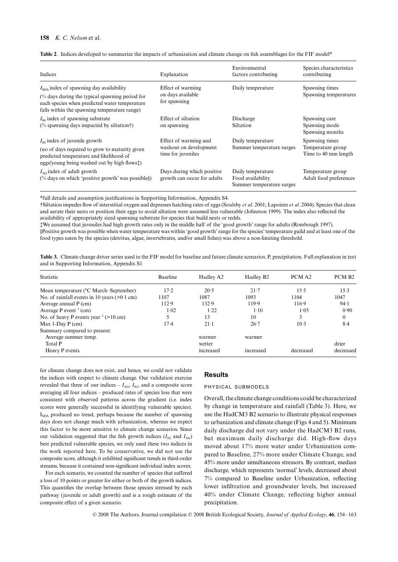#### **158** *K. C. Nelson* et al.

| Indices                                                                                                                                                                                           | Explanation                                               | Environmental<br>factors contributing                               | Species characteristics<br>contributing                     |  |
|---------------------------------------------------------------------------------------------------------------------------------------------------------------------------------------------------|-----------------------------------------------------------|---------------------------------------------------------------------|-------------------------------------------------------------|--|
| $I_{SDA}$ index of spawning day availability<br>$\%$ days during the typical spawning period for<br>each species when predicted water temperature<br>falls within the spawning temperature range) | Effect of warming<br>on days available<br>for spawning    | Daily temperature                                                   | Spawning times<br>Spawning temperatures                     |  |
| $I_{ss}$ index of spawning substrate<br>(% spawning days impacted by siltation†)                                                                                                                  | Effect of siltation<br>on spawning                        | Discharge<br>Siltation                                              | Spawning care<br>Spawning mode<br>Spawning months           |  |
| $I_{ss}$ index of juvenile growth                                                                                                                                                                 | Effect of warming and                                     | Daily temperature                                                   | Spawning times<br>Temperature group<br>Time to 40 mm length |  |
| (no of days required to grow to maturity given<br>predicted temperature and likelihood of<br>eggs/young being washed out by high flows:                                                           | washout on development<br>time for juveniles              | Summer temperature surges                                           |                                                             |  |
| $I_{AG}$ index of adult growth<br>(% days on which 'positive growth' was possibles)                                                                                                               | Days during which positive<br>growth can occur for adults | Daily temperature<br>Food availability<br>Summer temperature surges | Temperature group<br>Adult food preferences                 |  |

Table 2. Indices developed to summarize the impacts of urbanization and climate change on fish assemblages for the FIF model\*

\*full details and assumption justifications in Supporting Information, Appendix S4.

†Siltation impedes flow of interstitial oxygen and depresses hatching rates of eggs (Soulsby *et al*. 2001; Lapointe *et al*. 2004). Species that clean and aerate their nests or position their eggs to avoid siltation were assumed less vulnerable (Johnston 1999). The index also reflected the availability of appropriately sized spawning substrate for species that build nests or redds.

‡We assumed that juveniles had high growth rates only in the middle half of the 'good growth' range for adults (Rombough 1997).

§Positive growth was possible when water temperature was within 'good growth' range for the species' temperature guild and at least one of the food types eaten by the species (detritus, algae, invertebrates, and/or small fishes) was above a non-limiting threshold.

**Table 3.** Climate change driver series used in the FIF model for baseline and future climate scenarios. P, precipitation. Full explanation in text and in Supporting Information, Appendix S1

| <b>Statistic</b>                                  | Baseline | Hadley A2 | Hadley B <sub>2</sub> | PCM A <sub>2</sub> | PCM <sub>B2</sub> |
|---------------------------------------------------|----------|-----------|-----------------------|--------------------|-------------------|
| Mean temperature (°C March–September)             | 17.2     | 20.5      | $21 - 7$              | 15.5               | 15.3              |
| No. of rainfall events in 10 years $(>0.1$ cm)    | 1107     | 1087      | 1093                  | 1104               | 1047              |
| Average annual $P$ (cm)                           | 112.9    | 132.9     | 119.9                 | 116.9              | 94.1              |
| Average P event <sup>-1</sup> (cm)                | 1.02     | 1.22      | $1-10$                | 1.05               | 0.90              |
| No. of heavy P events year <sup>-1</sup> (>10 cm) |          | 13        | 10                    |                    | $\theta$          |
| Max 1-Day $P$ (cm)                                | $17-4$   | $21-1$    | 26.7                  | $10-3$             | 8.4               |
| Summary compared to present:                      |          |           |                       |                    |                   |
| Average summer temp.                              |          | warmer    | warmer                |                    |                   |
| Total P                                           |          | wetter    |                       |                    | drier             |
| Heavy P events                                    |          | increased | increased             | decreased          | decreased         |

for climate change does not exist, and hence, we could not validate the indices with respect to climate change. Our validation exercise revealed that three of our indices  $- I_{AG}$ ,  $I_{JG}$ , and a composite score averaging all four indices – produced rates of species loss that were consistent with observed patterns across the gradient (i.e. index scores were generally successful in identifying vulnerable species). I<sub>SDA</sub> produced no trend, perhaps because the number of spawning days does not change much with urbanization, whereas we expect this factor to be more sensitive to climate change scenarios. Since our validation suggested that the fish growth indices ( $I_{\text{JG}}$  and  $I_{\text{AG}}$ ) best predicted vulnerable species, we only used these two indices in the work reported here. To be conservative, we did not use the composite score, although it exhibited significant trends in third-order streams, because it contained non-significant individual index scores.

For each scenario, we counted the number of species that suffered a loss of 10 points or greater for either or both of the growth indices. This quantifies the overlap between those species stressed by each pathway (juvenile or adult growth) and is a rough estimate of the composite effect of a given scenario.

# **Results**

#### PHYSICAL SUBMODELS

Overall, the climate change conditions could be characterized by change in temperature and rainfall (Table 3). Here, we use the HadCM3 B2 scenario to illustrate physical responses to urbanization and climate change (Figs 4 and 5). Minimum daily discharge did not vary under the HadCM3 B2 runs, but maximum daily discharge did. High-flow days moved about 17% more water under Urbanization compared to Baseline, 27% more under Climate Change, and 45% more under simultaneous stressors. By contrast, median discharge, which represents 'normal' levels, decreased about 7% compared to Baseline under Urbanization, reflecting lower infiltration and groundwater levels, but increased 40% under Climate Change, reflecting higher annual precipitation.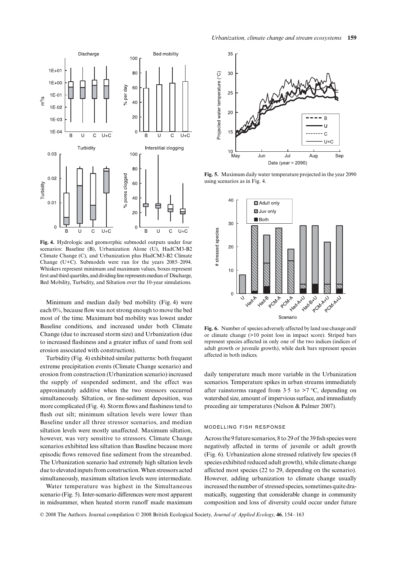

**Fig. 4.** Hydrologic and geomorphic submodel outputs under four scenarios: Baseline (B), Urbanization Alone (U), HadCM3-B2 Climate Change (C), and Urbanization plus HadCM3-B2 Climate Change (U+C). Submodels were run for the years 2085–2094. Whiskers represent minimum and maximum values, boxes represent first and third quartiles, and dividing line represents median of Discharge, Bed Mobility, Turbidity, and Siltation over the 10-year simulations.

Minimum and median daily bed mobility (Fig. 4) were each 0%, because flow was not strong enough to move the bed most of the time. Maximum bed mobility was lowest under Baseline conditions, and increased under both Climate Change (due to increased storm size) and Urbanization (due to increased flashiness and a greater influx of sand from soil erosion associated with construction).

Turbidity (Fig. 4) exhibited similar patterns: both frequent extreme precipitation events (Climate Change scenario) and erosion from construction (Urbanization scenario) increased the supply of suspended sediment, and the effect was approximately additive when the two stressors occurred simultaneously. Siltation, or fine-sediment deposition, was more complicated (Fig. 4). Storm flows and flashiness tend to flush out silt; minimum siltation levels were lower than Baseline under all three stressor scenarios, and median siltation levels were mostly unaffected. Maximum siltation, however, was very sensitive to stressors. Climate Change scenarios exhibited less siltation than Baseline because more episodic flows removed fine sediment from the streambed. The Urbanization scenario had extremely high siltation levels due to elevated inputs from construction. When stressors acted simultaneously, maximum siltation levels were intermediate.

Water temperature was highest in the Simultaneous scenario (Fig. 5). Inter-scenario differences were most apparent in midsummer, when heated storm runoff made maximum



**Fig. 5.** Maximum daily water temperature projected in the year 2090 using scenarios as in Fig. 4.



**Fig. 6.** Number of species adversely affected by land use change and/ or climate change (>10 point loss in impact score). Striped bars represent species affected in only one of the two indices (indices of adult growth or juvenile growth), while dark bars represent species affected in both indices.

daily temperature much more variable in the Urbanization scenarios. Temperature spikes in urban streams immediately after rainstorms ranged from  $3.5$  to  $>7$  °C, depending on watershed size, amount of impervious surface, and immediately preceding air temperatures (Nelson & Palmer 2007).

# MODELLING FISH RESPONSE

Across the 9 future scenarios, 8 to 29 of the 39 fish species were negatively affected in terms of juvenile or adult growth (Fig. 6). Urbanization alone stressed relatively few species (8 species exhibited reduced adult growth), while climate change affected most species (22 to 29, depending on the scenario). However, adding urbanization to climate change usually increased the number of stressed species, sometimes quite dramatically, suggesting that considerable change in community composition and loss of diversity could occur under future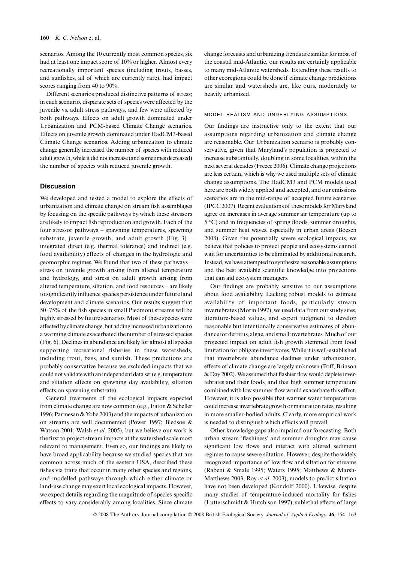scenarios. Among the 10 currently most common species, six had at least one impact score of 10% or higher. Almost every recreationally important species (including trouts, basses, and sunfishes, all of which are currently rare), had impact scores ranging from 40 to 90%.

Different scenarios produced distinctive patterns of stress; in each scenario, disparate sets of species were affected by the juvenile vs. adult stress pathways, and few were affected by both pathways. Effects on adult growth dominated under Urbanization and PCM-based Climate Change scenarios. Effects on juvenile growth dominated under HadCM3-based Climate Change scenarios. Adding urbanization to climate change generally increased the number of species with reduced adult growth, while it did not increase (and sometimes decreased) the number of species with reduced juvenile growth.

# **Discussion**

We developed and tested a model to explore the effects of urbanization and climate change on stream fish assemblages by focusing on the specific pathways by which these stressors are likely to impact fish reproduction and growth. Each of the four stressor pathways – spawning temperatures, spawning substrate, juvenile growth, and adult growth (Fig. 3)  $$ integrated direct (e.g. thermal tolerance) and indirect (e.g. food availability) effects of changes in the hydrologic and geomorphic regimes. We found that two of these pathways – stress on juvenile growth arising from altered temperature and hydrology, and stress on adult growth arising from altered temperature, siltation, and food resources – are likely to significantly influence species persistence under future land development and climate scenarios. Our results suggest that 50–75% of the fish species in small Piedmont streams will be highly stressed by future scenarios. Most of these species were affected by climate change, but adding increased urbanization to a warming climate exacerbated the number of stressed species (Fig. 6). Declines in abundance are likely for almost all species supporting recreational fisheries in these watersheds, including trout, bass, and sunfish. These predictions are probably conservative because we excluded impacts that we could not validate with an independent data set (e.g. temperature and siltation effects on spawning day availability, siltation effects on spawning substrate).

General treatments of the ecological impacts expected from climate change are now common (e.g., Eaton & Scheller 1996; Parmesan & Yohe 2003) and the impacts of urbanization on streams are well documented (Power 1997; Bledsoe & Watson 2001; Walsh *et al*. 2005), but we believe our work is the first to project stream impacts at the watershed scale most relevant to management. Even so, our findings are likely to have broad applicability because we studied species that are common across much of the eastern USA, described these fishes via traits that occur in many other species and regions, and modelled pathways through which either climate or land-use change may exert local ecological impacts. However, we expect details regarding the magnitude of species-specific effects to vary considerably among localities. Since climate

change forecasts and urbanizing trends are similar for most of the coastal mid-Atlantic, our results are certainly applicable to many mid-Atlantic watersheds. Extending these results to other ecoregions could be done if climate change predictions are similar and watersheds are, like ours, moderately to heavily urbanized.

#### MODEL REALISM AND UNDERLYING ASSUMPTIONS

Our findings are instructive only to the extent that our assumptions regarding urbanization and climate change are reasonable. Our Urbanization scenario is probably conservative, given that Maryland's population is projected to increase substantially, doubling in some localities, within the next several decades (Freece 2006). Climate change projections are less certain, which is why we used multiple sets of climate change assumptions. The HadCM3 and PCM models used here are both widely applied and accepted, and our emissions scenarios are in the mid-range of accepted future scenarios (IPCC 2007). Recent evaluations of these models for Maryland agree on increases in average summer air temperature (up to 5 °C) and in frequencies of spring floods, summer droughts, and summer heat waves, especially in urban areas (Boesch 2008). Given the potentially severe ecological impacts, we believe that policies to protect people and ecosystems cannot wait for uncertainties to be eliminated by additional research. Instead, we have attempted to synthesize reasonable assumptions and the best available scientific knowledge into projections that can aid ecosystem managers.

Our findings are probably sensitive to our assumptions about food availability. Lacking robust models to estimate availability of important foods, particularly stream invertebrates (Morin 1997), we used data from our study sites, literature-based values, and expert judgment to develop reasonable but intentionally conservative estimates of abundance for detritus, algae, and small invertebrates. Much of our projected impact on adult fish growth stemmed from food limitation for obligate invertivores. While it is well-established that invertebrate abundance declines under urbanization, effects of climate change are largely unknown (Poff, Brinson & Day 2002). We assumed that flashier flow would deplete invertebrates and their foods, and that high summer temperature combined with low summer flow would exacerbate this effect. However, it is also possible that warmer water temperatures could increase invertebrate growth or maturation rates, resulting in more smaller-bodied adults. Clearly, more empirical work is needed to distinguish which effects will prevail.

Other knowledge gaps also impaired our forecasting. Both urban stream 'flashiness' and summer droughts may cause significant low flows and interact with altered sediment regimes to cause severe siltation. However, despite the widely recognized importance of low flow and siltation for streams (Rabeni & Smale 1995; Waters 1995; Matthews & Marsh-Matthews 2003; Roy *et al*. 2003), models to predict siltation have not been developed (Kondolf 2000). Likewise, despite many studies of temperature-induced mortality for fishes (Lutterschmidt & Hutchison 1997), sublethal effects of large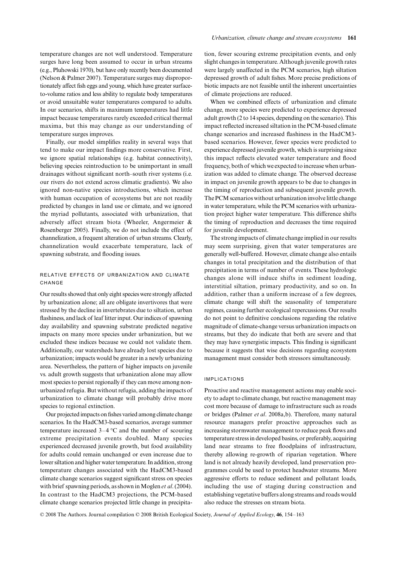temperature changes are not well understood. Temperature surges have long been assumed to occur in urban streams (e.g., Pluhowski 1970), but have only recently been documented (Nelson & Palmer 2007). Temperature surges may disproportionately affect fish eggs and young, which have greater surfaceto-volume ratios and less ability to regulate body temperatures or avoid unsuitable water temperatures compared to adults. In our scenarios, shifts in maximum temperatures had little impact because temperatures rarely exceeded critical thermal maxima, but this may change as our understanding of temperature surges improves.

Finally, our model simplifies reality in several ways that tend to make our impact findings more conservative. First, we ignore spatial relationships (e.g. habitat connectivity), believing species reintroduction to be unimportant in small drainages without significant north–south river systems (i.e. our rivers do not extend across climatic gradients). We also ignored non-native species introductions, which increase with human occupation of ecosystems but are not readily predicted by changes in land use or climate, and we ignored the myriad pollutants, associated with urbanization, that adversely affect stream biota (Wheeler, Angermeier & Rosenberger 2005). Finally, we do not include the effect of channelization, a frequent alteration of urban streams. Clearly, channelization would exacerbate temperature, lack of spawning substrate, and flooding issues.

# RELATIVE EFFECTS OF URBANIZATION AND CLIMATE **CHANGE**

Our results showed that only eight species were strongly affected by urbanization alone; all are obligate invertivores that were stressed by the decline in invertebrates due to siltation, urban flashiness, and lack of leaf litter input. Our indices of spawning day availability and spawning substrate predicted negative impacts on many more species under urbanization, but we excluded these indices because we could not validate them. Additionally, our watersheds have already lost species due to urbanization; impacts would be greater in a newly urbanizing area. Nevertheless, the pattern of higher impacts on juvenile vs. adult growth suggests that urbanization alone may allow most species to persist regionally if they can move among nonurbanized refugia. But without refugia, adding the impacts of urbanization to climate change will probably drive more species to regional extinction.

Our projected impacts on fishes varied among climate change scenarios. In the HadCM3-based scenarios, average summer temperature increased  $3-4$  °C and the number of scouring extreme precipitation events doubled. Many species experienced decreased juvenile growth, but food availability for adults could remain unchanged or even increase due to lower siltation and higher water temperature. In addition, strong temperature changes associated with the HadCM3-based climate change scenarios suggest significant stress on species with brief spawning periods, as shown in Moglen *et al*. (2004). In contrast to the HadCM3 projections, the PCM-based climate change scenarios projected little change in precipitation, fewer scouring extreme precipitation events, and only slight changes in temperature. Although juvenile growth rates were largely unaffected in the PCM scenarios, high siltation depressed growth of adult fishes. More precise predictions of biotic impacts are not feasible until the inherent uncertainties of climate projections are reduced.

When we combined effects of urbanization and climate change, more species were predicted to experience depressed adult growth (2 to 14 species, depending on the scenario). This impact reflected increased siltation in the PCM-based climate change scenarios and increased flashiness in the HadCM3 based scenarios. However, fewer species were predicted to experience depressed juvenile growth, which is surprising since this impact reflects elevated water temperature and flood frequency, both of which we expected to increase when urbanization was added to climate change. The observed decrease in impact on juvenile growth appears to be due to changes in the timing of reproduction and subsequent juvenile growth. The PCM scenarios without urbanization involve little change in water temperature, while the PCM scenarios with urbanization project higher water temperature. This difference shifts the timing of reproduction and decreases the time required for juvenile development.

The strong impacts of climate change implied in our results may seem surprising, given that water temperatures are generally well-buffered. However, climate change also entails changes in total precipitation and the distribution of that precipitation in terms of number of events. These hydrologic changes alone will induce shifts in sediment loading, interstitial siltation, primary productivity, and so on. In addition, rather than a uniform increase of a few degrees, climate change will shift the seasonality of temperature regimes, causing further ecological repercussions. Our results do not point to definitive conclusions regarding the relative magnitude of climate-change versus urbanization impacts on streams, but they do indicate that both are severe and that they may have synergistic impacts. This finding is significant because it suggests that wise decisions regarding ecosystem management must consider both stressors simultaneously.

# IMPLICATIONS

Proactive and reactive management actions may enable society to adapt to climate change, but reactive management may cost more because of damage to infrastructure such as roads or bridges (Palmer *et al*. 2008a,b). Therefore, many natural resource managers prefer proactive approaches such as increasing stormwater management to reduce peak flows and temperature stress in developed basins, or preferably, acquiring land near streams to free floodplains of infrastructure, thereby allowing re-growth of riparian vegetation. Where land is not already heavily developed, land preservation programmes could be used to protect headwater streams. More aggressive efforts to reduce sediment and pollutant loads, including the use of staging during construction and establishing vegetative buffers along streams and roads would also reduce the stresses on stream biota.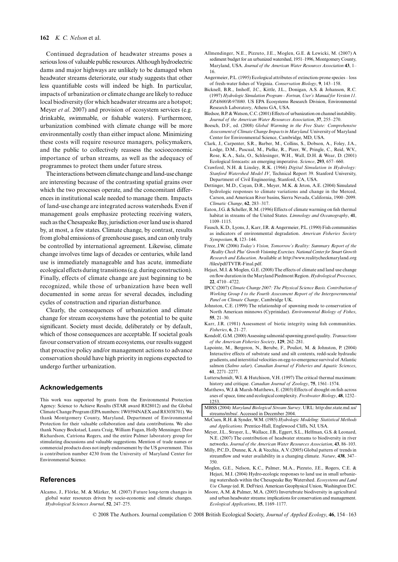#### **162** *K. C. Nelson* et al.

Continued degradation of headwater streams poses a serious loss of valuable public resources. Although hydroelectric dams and major highways are unlikely to be damaged when headwater streams deteriorate, our study suggests that other less quantifiable costs will indeed be high. In particular, impacts of urbanization or climate change are likely to reduce local biodiversity (for which headwater streams are a hotspot; Meyer *et al*. 2007) and provision of ecosystem services (e.g. drinkable, swimmable, or fishable waters). Furthermore, urbanization combined with climate change will be more environmentally costly than either impact alone. Minimizing these costs will require resource managers, policymakers, and the public to collectively reassess the socioeconomic importance of urban streams, as well as the adequacy of programmes to protect them under future stress.

The interactions between climate change and land-use change are interesting because of the contrasting spatial grains over which the two processes operate, and the concomitant differences in institutional scale needed to manage them. Impacts of land-use change are integrated across watersheds. Even if management goals emphasize protecting receiving waters, such as the Chesapeake Bay, jurisdiction over land use is shared by, at most, a few states. Climate change, by contrast, results from global emissions of greenhouse gases, and can only truly be controlled by international agreement. Likewise, climate change involves time lags of decades or centuries, while land use is immediately manageable and has acute, immediate ecological effects during transitions (e.g. during construction). Finally, effects of climate change are just beginning to be recognized, while those of urbanization have been well documented in some areas for several decades, including cycles of construction and riparian disturbance.

Clearly, the consequences of urbanization and climate change for stream ecosystems have the potential to be quite significant. Society must decide, deliberately or by default, which of those consequences are acceptable. If societal goals favour conservation of stream ecosystems, our results suggest that proactive policy and/or management actions to advance conservation should have high priority in regions expected to undergo further urbanization.

# **Acknowledgements**

This work was supported by grants from the Environmental Protection Agency: Science to Achieve Results (STAR award R828012) and the Global Climate Change Program (EPA numbers: 1W0594NAEX and R83038701). We thank Montgomery County, Maryland, Department of Environmental Protection for their valuable collaboration and data contributions. We also thank Nancy Bockstael, Laura Craig, William Fagan, Holly Menninger, Dave Richardson, Catriona Rogers, and the entire Palmer laboratory group for stimulating discussions and valuable suggestions. Mention of trade names or commercial products does not imply endorsement by the US government. This is contribution number 4230 from the University of Maryland Center for Environmental Science.

# **References**

Alcamo, J., Flörke, M. & Märker, M. (2007) Future long-term changes in global water resources driven by socio-economic and climatic changes. *Hydrological Sciences Journal*, **52**, 247–275.

- Allmendinger, N.E., Pizzuto, J.E., Moglen, G.E. & Lewicki, M. (2007) A sediment budget for an urbanized watershed, 1951–1996, Montgomery County, Maryland, USA. *Journal of the American Water Resources Association* **43**, 1– 16.
- Angermeier, P.L. (1995) Ecological attributes of extinction-prone species loss of fresh-water fishes of Virginia. *Conservation Biology*, **9**, 143–158.
- Bicknell, B.R., Imhoff, J.C., Kittle, J.L., Donigan, A.S. & Johanson, R.C. (1997) *Hydrologic Simulation Program – Fortran, User's Manual for Version 11*. *EPA/600/R-97/080*. US EPA Ecosystems Research Division, Environmental Research Laboratory, Athens GA, USA.
- Bledsoe, B.P. & Watson, C.C. (2001) Effects of urbanization on channel instability. *Journal of the American Water Resources Association*, **37**, 255–270.
- Boesch, D.F., ed. (2008) *Global Warming in the Free State: Comprehensive Assessment of Climate Change Impacts in Maryland*. University of Maryland Center for Environmental Science, Cambridge, MD, USA.
- Clark, J., Carpenter, S.R., Barber, M., Collins, S., Dobson, A., Foley, J.A., Lodge, D.M., Pascual, M., Pielke, R., Pizer, W., Pringle, C., Reid, W.V., Rose, K.A., Sala, O., Schlesinger, W.H., Wall, D.H. & Wear, D. (2001) Ecological forecasts: an emerging imperative. *Science*, **293**, 657–660.
- Crawford, N.H. & Linsley, R.K. (1966) *Digital Simulation in Hydrology: Stanford Watershed Model IV*, Technical Report 39. Stanford University, Department of Civil Engineering, Stanford, CA, USA.
- Dettinger, M.D., Cayan, D.R., Meyer, M.K. & Jeton, A.E. (2004) Simulated hydrologic responses to climate variations and change in the Merced, Carson, and American River basins, Sierra Nevada, California, 1900–2099. *Climatic Change*, **62**, 283–317.
- Eaton, J.G. & Scheller, R.M. (1996) Effects of climate warming on fish thermal habitat in streams of the United States. *Limnology and Oceanography*, **41**, 1109–1115.
- Fausch, K.D., Lyons, J., Karr, J.R. & Angermeier, P.L. (1990) Fish communities as indicators of environmental degradation. *American Fisheries Society Symposium*, **8**, 123–144.
- Frece, J.W. (2006) *Today's Vision, Tomorrow's Reality: Summary Report of the 'Reality Check Plus' Growth Visioning Exercises. National Center for Smart Growth Research and Education*[. Available at http://www.realitycheckmaryland.org](http://www.realitycheckmaryland.org/�les/pdf/TVTR-Final.pdf) /files/pdf/TVTR-Final.pdf.
- Hejazi, M.I. & Moglen, G.E. (2008) The effects of climate and land use change on flow duration in the Maryland Piedmont Region. *Hydrological Processes*, **22**, 4710–4722.
- IPCC (2007) *Climate Change 2007: The Physical Science Basis. Contribution of Working Group I to the Fourth Assessment Report of the Intergovernmental Panel on Climate Change*, Cambridge UK.
- Johnston, C.E. (1999) The relationship of spawning mode to conservation of North American minnows (Cyprinidae). *Environmental Biology of Fishes*, **55**, 21–30.
- Karr, J.R. (1981) Assessment of biotic integrity using fish communities. *Fisheries*, **6**, 21–27.
- Kondolf, G.M. (2000) Assessing salmonid spawning gravel quality. *Transactions of the American Fisheries Society*, **129**, 262–281.
- Lapointe, M., Bergeron, N., Berube, F., Pouliot, M. & Johnston, P. (2004) Interactive effects of substrate sand and silt contents, redd-scale hydraulic gradients, and interstitial velocities on egg-to-emergence survival of Atlantic salmon (*Salmo salar*). *Canadian Journal of Fisheries and Aquatic Sciences*, **61**, 2271–2277.
- Lutterschmidt, W.I. & Hutchison, V.H. (1997) The critical thermal maximum: history and critique. *Canadian Journal of Zoology*, **75**, 1561–1574.
- Matthews, W.J. & Marsh-Matthews, E. (2003) Effects of drought on fish across axes of space, time and ecological complexity. *Freshwater Biology*, **48**, 1232– 1253.
- MBSS (2004) *Maryland Biological Stream Survey*. URL: http:dnr.state.md.us/ [streams/mbss/. Accessed in December 2004.](http:dnr.state.md.us/streams/mbss/)
- McCuen, R.H. & Synder, W.M. (1985) *Hydrologic Modeling: Statistical Methods and Applications.* Prentice-Hall, Englewood Cliffs, NJ, USA.
- Meyer, J.L., Strayer, L., Wallace, J.B., Eggert, S.L., Helfman, G.S. & Leonard, N.E. (2007) The contribution of headwater streams to biodiversity in river networks. *Journal of the American Water Resources Association*, **43**, 86–103.
- Milly, P.C.D., Dunne, K.A. & Vecchia, A.V. (2005) Global pattern of trends in streamflow and water availability in a changing climate. *Nature*, **438**, 347– 350.
- Moglen, G.E., Nelson, K.C., Palmer, M.A., Pizzuto, J.E., Rogers, C.E. & Hejazi, M.I. (2004) Hydro-ecologic responses to land use in small urbanizing watersheds within the Chesapeake Bay Watershed. *Ecosystems and Land Use Change* (ed. R. DeFries). American Geophysical Union, Washington D.C.
- Moore, A.M. & Palmer, M.A. (2005) Invertebrate biodiversity in agricultural and urban headwater streams: implications for conservation and management. *Ecological Applications*, **15**, 1169–1177.